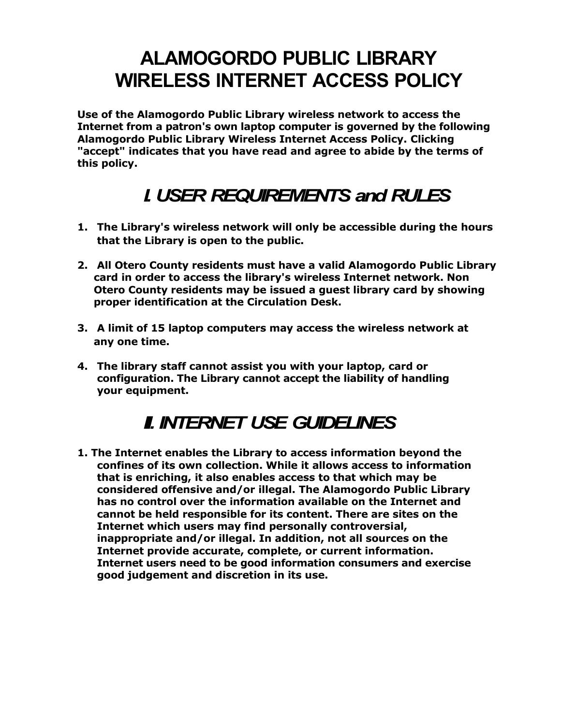## **ALAMOGORDO PUBLIC LIBRARY WIRELESS INTERNET ACCESS POLICY**

**Use of the Alamogordo Public Library wireless network to access the Internet from a patron's own laptop computer is governed by the following Alamogordo Public Library Wireless Internet Access Policy. Clicking "accept" indicates that you have read and agree to abide by the terms of this policy.**

## *I. USER REQUIREMENTS and RULES*

- **1. The Library's wireless network will only be accessible during the hours that the Library is open to the public.**
- **2. All Otero County residents must have a valid Alamogordo Public Library card in order to access the library's wireless Internet network. Non Otero County residents may be issued a guest library card by showing proper identification at the Circulation Desk.**
- **3. A limit of 15 laptop computers may access the wireless network at any one time.**
- **4. The library staff cannot assist you with your laptop, card or configuration. The Library cannot accept the liability of handling your equipment.**

## *II. INTERNET USE GUIDELINES*

**1. The Internet enables the Library to access information beyond the confines of its own collection. While it allows access to information that is enriching, it also enables access to that which may be considered offensive and/or illegal. The Alamogordo Public Library has no control over the information available on the Internet and cannot be held responsible for its content. There are sites on the Internet which users may find personally controversial, inappropriate and/or illegal. In addition, not all sources on the Internet provide accurate, complete, or current information. Internet users need to be good information consumers and exercise good judgement and discretion in its use.**